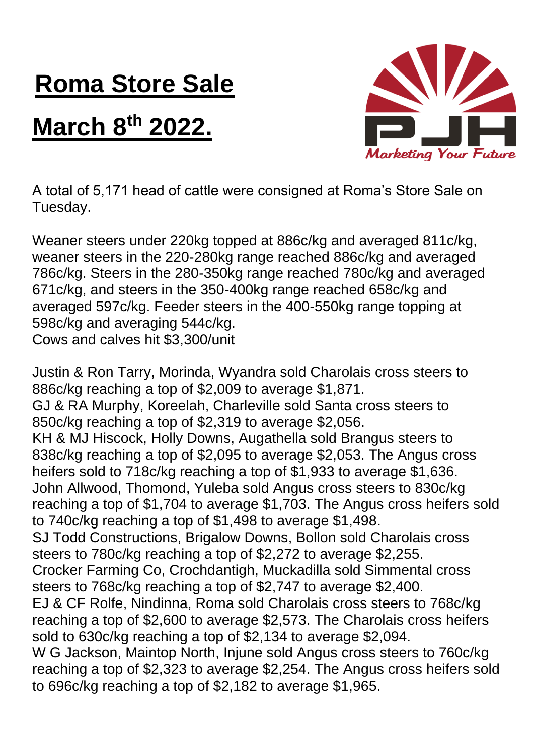## **Roma Store Sale**

## **March 8th 2022.**



A total of 5,171 head of cattle were consigned at Roma's Store Sale on Tuesday.

Weaner steers under 220kg topped at 886c/kg and averaged 811c/kg, weaner steers in the 220-280kg range reached 886c/kg and averaged 786c/kg. Steers in the 280-350kg range reached 780c/kg and averaged 671c/kg, and steers in the 350-400kg range reached 658c/kg and averaged 597c/kg. Feeder steers in the 400-550kg range topping at 598c/kg and averaging 544c/kg. Cows and calves hit \$3,300/unit

Justin & Ron Tarry, Morinda, Wyandra sold Charolais cross steers to 886c/kg reaching a top of \$2,009 to average \$1,871. GJ & RA Murphy, Koreelah, Charleville sold Santa cross steers to 850c/kg reaching a top of \$2,319 to average \$2,056. KH & MJ Hiscock, Holly Downs, Augathella sold Brangus steers to 838c/kg reaching a top of \$2,095 to average \$2,053. The Angus cross heifers sold to 718c/kg reaching a top of \$1,933 to average \$1,636. John Allwood, Thomond, Yuleba sold Angus cross steers to 830c/kg reaching a top of \$1,704 to average \$1,703. The Angus cross heifers sold to 740c/kg reaching a top of \$1,498 to average \$1,498. SJ Todd Constructions, Brigalow Downs, Bollon sold Charolais cross steers to 780c/kg reaching a top of \$2,272 to average \$2,255. Crocker Farming Co, Crochdantigh, Muckadilla sold Simmental cross steers to 768c/kg reaching a top of \$2,747 to average \$2,400. EJ & CF Rolfe, Nindinna, Roma sold Charolais cross steers to 768c/kg reaching a top of \$2,600 to average \$2,573. The Charolais cross heifers sold to 630c/kg reaching a top of \$2,134 to average \$2,094. W G Jackson, Maintop North, Injune sold Angus cross steers to 760c/kg reaching a top of \$2,323 to average \$2,254. The Angus cross heifers sold to 696c/kg reaching a top of \$2,182 to average \$1,965.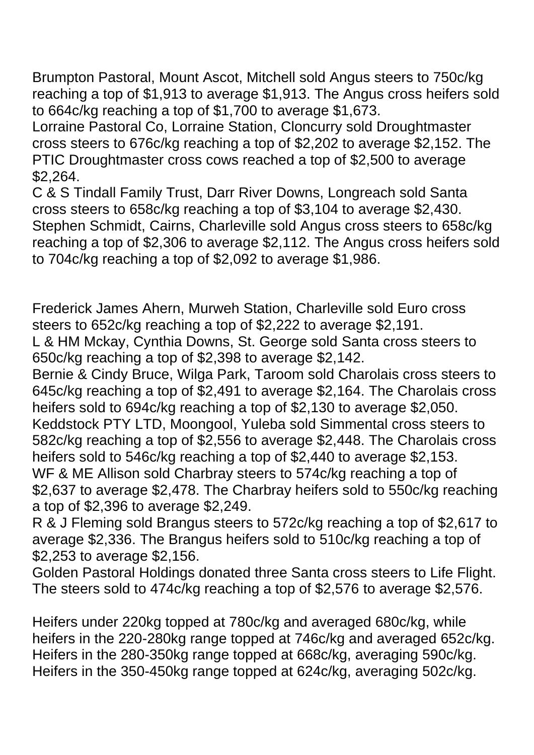Brumpton Pastoral, Mount Ascot, Mitchell sold Angus steers to 750c/kg reaching a top of \$1,913 to average \$1,913. The Angus cross heifers sold to 664c/kg reaching a top of \$1,700 to average \$1,673.

Lorraine Pastoral Co, Lorraine Station, Cloncurry sold Droughtmaster cross steers to 676c/kg reaching a top of \$2,202 to average \$2,152. The PTIC Droughtmaster cross cows reached a top of \$2,500 to average \$2,264.

C & S Tindall Family Trust, Darr River Downs, Longreach sold Santa cross steers to 658c/kg reaching a top of \$3,104 to average \$2,430. Stephen Schmidt, Cairns, Charleville sold Angus cross steers to 658c/kg reaching a top of \$2,306 to average \$2,112. The Angus cross heifers sold to 704c/kg reaching a top of \$2,092 to average \$1,986.

Frederick James Ahern, Murweh Station, Charleville sold Euro cross steers to 652c/kg reaching a top of \$2,222 to average \$2,191. L & HM Mckay, Cynthia Downs, St. George sold Santa cross steers to 650c/kg reaching a top of \$2,398 to average \$2,142.

Bernie & Cindy Bruce, Wilga Park, Taroom sold Charolais cross steers to 645c/kg reaching a top of \$2,491 to average \$2,164. The Charolais cross heifers sold to 694c/kg reaching a top of \$2,130 to average \$2,050. Keddstock PTY LTD, Moongool, Yuleba sold Simmental cross steers to 582c/kg reaching a top of \$2,556 to average \$2,448. The Charolais cross heifers sold to 546c/kg reaching a top of \$2,440 to average \$2,153. WF & ME Allison sold Charbray steers to 574c/kg reaching a top of \$2,637 to average \$2,478. The Charbray heifers sold to 550c/kg reaching a top of \$2,396 to average \$2,249.

R & J Fleming sold Brangus steers to 572c/kg reaching a top of \$2,617 to average \$2,336. The Brangus heifers sold to 510c/kg reaching a top of \$2,253 to average \$2,156.

Golden Pastoral Holdings donated three Santa cross steers to Life Flight. The steers sold to 474c/kg reaching a top of \$2,576 to average \$2,576.

Heifers under 220kg topped at 780c/kg and averaged 680c/kg, while heifers in the 220-280kg range topped at 746c/kg and averaged 652c/kg. Heifers in the 280-350kg range topped at 668c/kg, averaging 590c/kg. Heifers in the 350-450kg range topped at 624c/kg, averaging 502c/kg.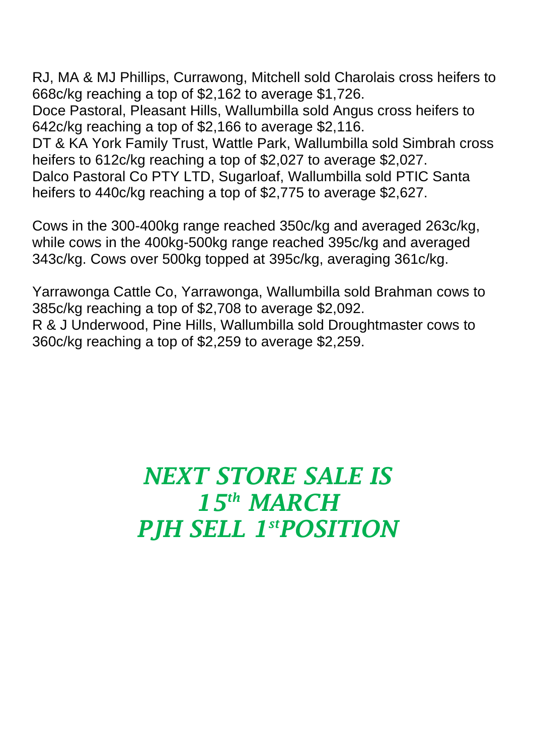RJ, MA & MJ Phillips, Currawong, Mitchell sold Charolais cross heifers to 668c/kg reaching a top of \$2,162 to average \$1,726.

Doce Pastoral, Pleasant Hills, Wallumbilla sold Angus cross heifers to 642c/kg reaching a top of \$2,166 to average \$2,116.

DT & KA York Family Trust, Wattle Park, Wallumbilla sold Simbrah cross heifers to 612c/kg reaching a top of \$2,027 to average \$2,027.

Dalco Pastoral Co PTY LTD, Sugarloaf, Wallumbilla sold PTIC Santa heifers to 440c/kg reaching a top of \$2,775 to average \$2,627.

Cows in the 300-400kg range reached 350c/kg and averaged 263c/kg, while cows in the 400kg-500kg range reached 395c/kg and averaged 343c/kg. Cows over 500kg topped at 395c/kg, averaging 361c/kg.

Yarrawonga Cattle Co, Yarrawonga, Wallumbilla sold Brahman cows to 385c/kg reaching a top of \$2,708 to average \$2,092. R & J Underwood, Pine Hills, Wallumbilla sold Droughtmaster cows to 360c/kg reaching a top of \$2,259 to average \$2,259.

## *NEXT STORE SALE IS 15th MARCH PJH SELL 1 stPOSITION*